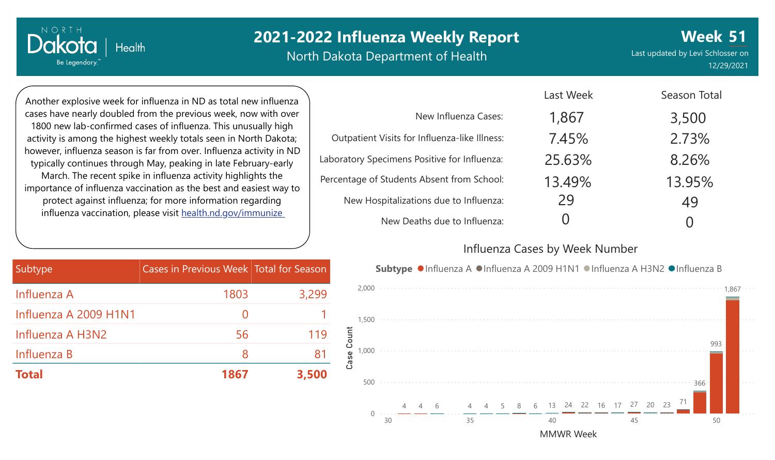North Dakota Department of Health

**Week** Last updated by Levi Schlosser on **51** 12/29/2021

Another explosive week for influenza in ND as total new influenza cases have nearly doubled from the previous week, now with over 1800 new lab-confirmed cases of influenza. This unusually high activity is among the highest weekly totals seen in North Dakota; however, influenza season is far from over. Influenza activity in ND typically continues through May, peaking in late February-early March. The recent spike in influenza activity highlights the importance of influenza vaccination as the best and easiest way to protect against influenza; for more information regarding influenza vaccination, please visit [health.nd.gov/immunize](http://health.nd.gov/immunize)

Health

NORTH

Dakotc

Be Legendary.

|                                               | Last Week | Season Total     |
|-----------------------------------------------|-----------|------------------|
| New Influenza Cases:                          | 1,867     | 3,500            |
| Outpatient Visits for Influenza-like Illness: | 7.45%     | 2.73%            |
| Laboratory Specimens Positive for Influenza:  | 25.63%    | 8.26%            |
| Percentage of Students Absent from School:    | 13.49%    | 13.95%           |
| New Hospitalizations due to Influenza:        | 29        | 49               |
| New Deaths due to Influenza:                  |           | $\left( \right)$ |

#### Influenza Cases by Week Number

Last Weekly

| Subtype               | Cases in Previous Week Total for Season |       |
|-----------------------|-----------------------------------------|-------|
| Influenza A           | 1803                                    | 3,299 |
| Influenza A 2009 H1N1 | $\left( \right)$                        |       |
| Influenza A H3N2      | 56                                      | 119   |
| Influenza B           | 8                                       | 81    |
| <b>Total</b>          | 1867                                    | 3,500 |

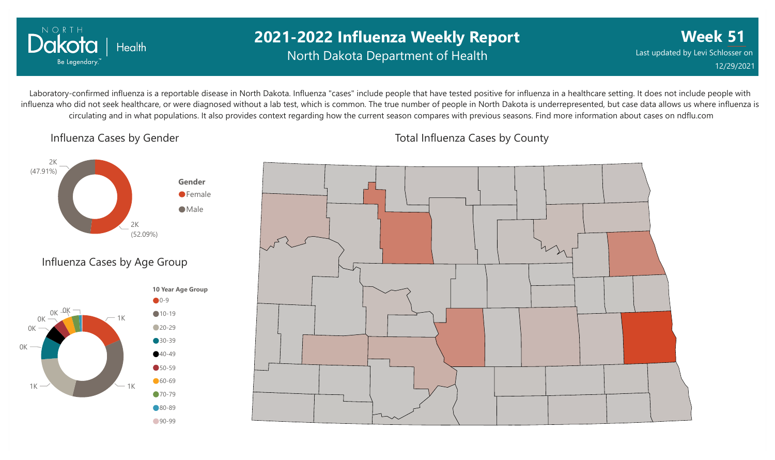

### **2021-2022 Influenza Weekly Report** North Dakota Department of Health

**Week 51** Last updated by Levi Schlosser on 12/29/2021

Laboratory-confirmed influenza is a reportable disease in North Dakota. Influenza "cases" include people that have tested positive for influenza in a healthcare setting. It does not include people with influenza who did not seek healthcare, or were diagnosed without a lab test, which is common. The true number of people in North Dakota is underrepresented, but case data allows us where influenza is circulating and in what populations. It also provides context regarding how the current season compares with previous seasons. Find more information about cases on ndflu.com

Influenza Cases by Gender







Total Influenza Cases by County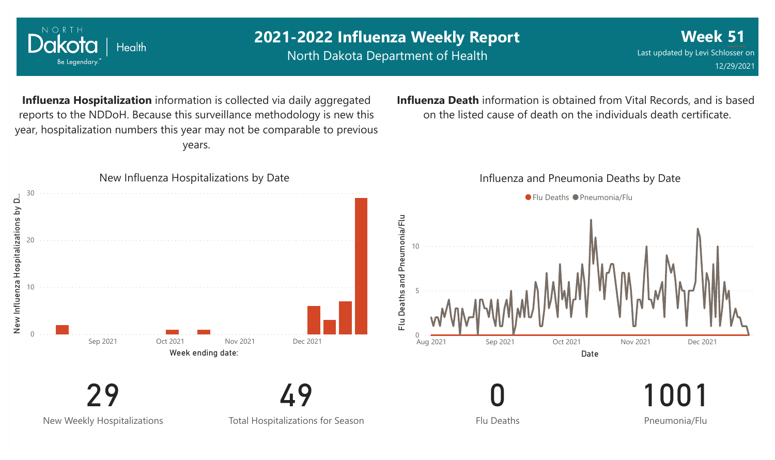

NORTH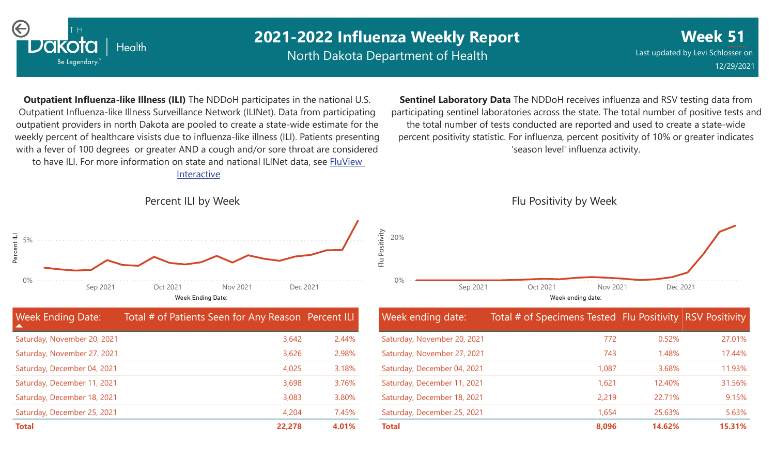

North Dakota Department of Health

**Week 51** Last updated by Levi Schlosser on 12/29/2021

**Outpatient Influenza-like Illness (ILI)** The NDDoH participates in the national U.S. Outpatient Influenza-like Illness Surveillance Network (ILINet). Data from participating outpatient providers in north Dakota are pooled to create a state-wide estimate for the weekly percent of healthcare visists due to influenza-like illness (ILI). Patients presenting with a fever of 100 degrees or greater AND a cough and/or sore throat are considered to have ILI. For more information [on state and national ILINet data, see FluView](http://fluview%20interactive/) Interactive

**Sentinel Laboratory Data** The NDDoH receives influenza and RSV testing data from participating sentinel laboratories across the state. The total number of positive tests and the total number of tests conducted are reported and used to create a state-wide percent positivity statistic. For influenza, percent positivity of 10% or greater indicates 'season level' influenza activity.



| <b>Week Ending Date:</b>    | Total # of Patients Seen for Any Reason Percent ILI |       |
|-----------------------------|-----------------------------------------------------|-------|
| Saturday, November 20, 2021 | 3,642                                               | 2.44% |
| Saturday, November 27, 2021 | 3,626                                               | 2.98% |
| Saturday, December 04, 2021 | 4,025                                               | 3.18% |
| Saturday, December 11, 2021 | 3,698                                               | 3.76% |
| Saturday, December 18, 2021 | 3,083                                               | 3.80% |
| Saturday, December 25, 2021 | 4,204                                               | 7.45% |
| <b>Total</b>                | 22,278                                              | 4.01% |



Flu Positivity by Week

| Week ending date:           | Total # of Specimens Tested Flu Positivity RSV Positivity |        |        |
|-----------------------------|-----------------------------------------------------------|--------|--------|
| Saturday, November 20, 2021 | 772                                                       | 0.52%  | 27.01% |
| Saturday, November 27, 2021 | 743                                                       | 1.48%  | 17.44% |
| Saturday, December 04, 2021 | 1,087                                                     | 3.68%  | 11.93% |
| Saturday, December 11, 2021 | 1,621                                                     | 12.40% | 31.56% |
| Saturday, December 18, 2021 | 2,219                                                     | 22.71% | 9.15%  |
| Saturday, December 25, 2021 | 1,654                                                     | 25.63% | 5.63%  |
| <b>Total</b>                | 8,096                                                     | 14.62% | 15.31% |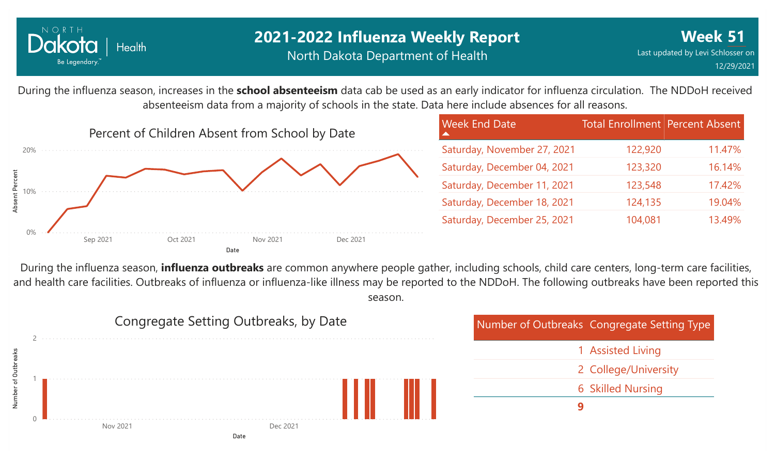

### **2021-2022 Influenza Weekly Report** North Dakota Department of Health

During the influenza season, increases in the **school absenteeism** data cab be used as an early indicator for influenza circulation. The NDDoH received absenteeism data from a majority of schools in the state. Data here include absences for all reasons.



| <b>Week End Date</b>        | <b>Total Enrollment Percent Absent</b> |        |
|-----------------------------|----------------------------------------|--------|
| Saturday, November 27, 2021 | 122,920                                | 11.47% |
| Saturday, December 04, 2021 | 123,320                                | 16.14% |
| Saturday, December 11, 2021 | 123,548                                | 17.42% |
| Saturday, December 18, 2021 | 124,135                                | 19.04% |
| Saturday, December 25, 2021 | 104,081                                | 13.49% |

During the influenza season, **influenza outbreaks** are common anywhere people gather, including schools, child care centers, long-term care facilities, and health care facilities. Outbreaks of influenza or influenza-like illness may be reported to the NDDoH. The following outbreaks have been reported this season.

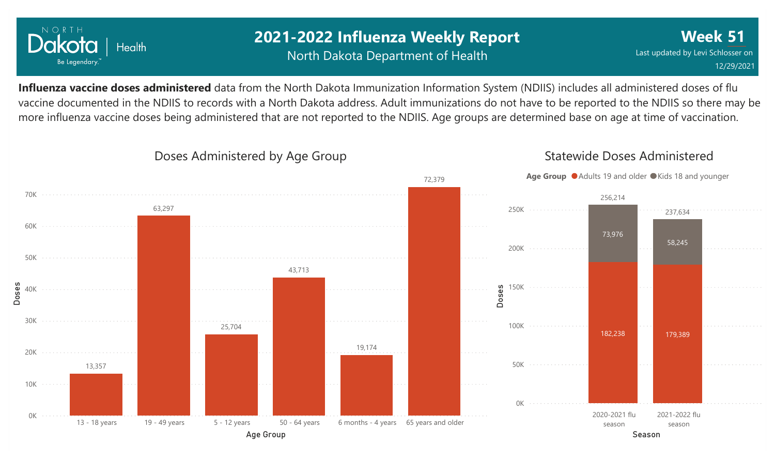

### **2021-2022 Influenza Weekly Report** North Dakota Department of Health

**Week 51** Last updated by Levi Schlosser on 12/29/2021

**Influenza vaccine doses administered** data from the North Dakota Immunization Information System (NDIIS) includes all administered doses of flu vaccine documented in the NDIIS to records with a North Dakota address. Adult immunizations do not have to be reported to the NDIIS so there may be more influenza vaccine doses being administered that are not reported to the NDIIS. Age groups are determined base on age at time of vaccination.



#### Doses Administered by Age Group

## Statewide Doses Administered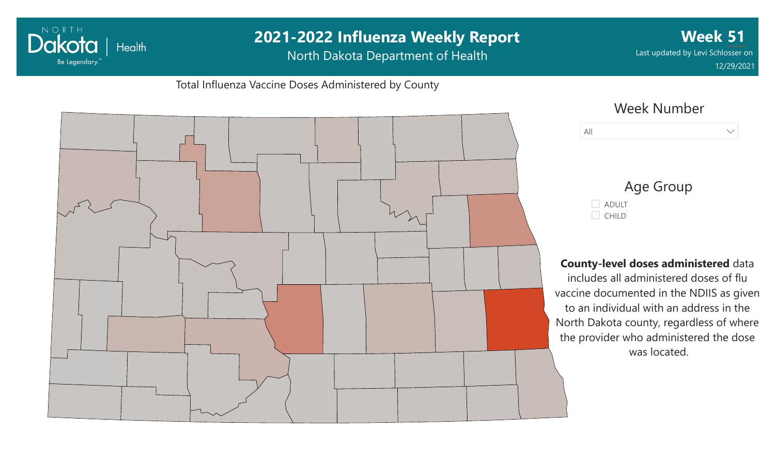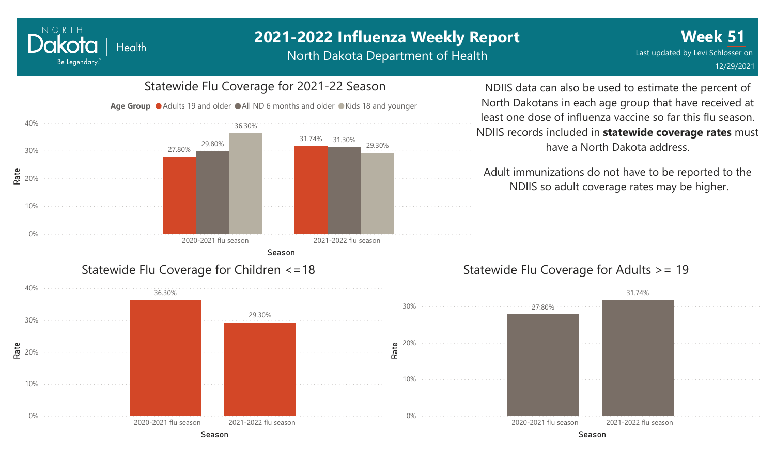North Dakota Department of Health



NORTH

Dakota

Be Legendary.

Health

NDIIS data can also be used to estimate the percent of North Dakotans in each age group that have received at least one dose of influenza vaccine so far this flu season. NDIIS records included in **statewide coverage rates** must have a North Dakota address.

Adult immunizations do not have to be reported to the NDIIS so adult coverage rates may be higher.

### Statewide Flu Coverage for Adults >= 19